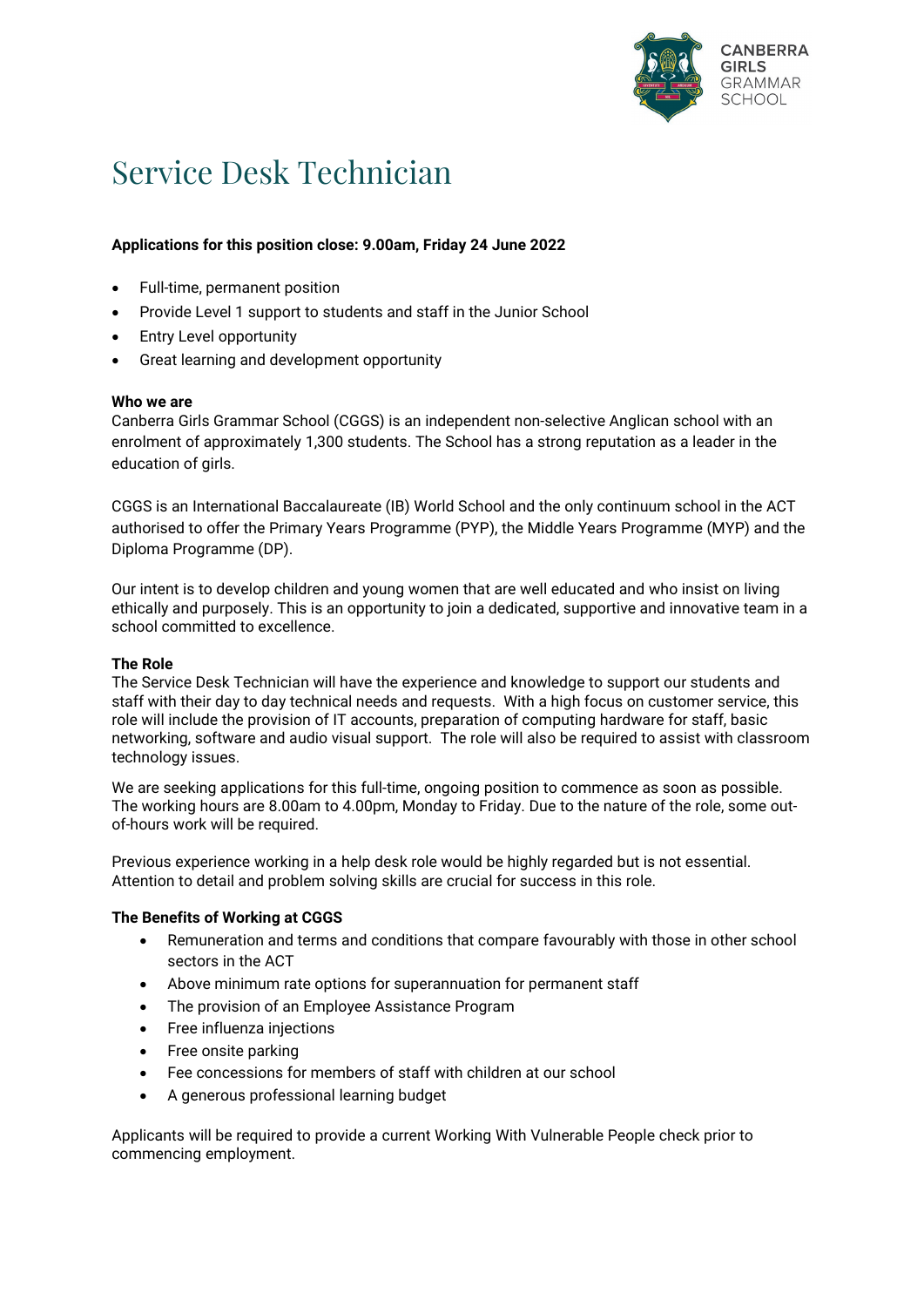

# Service Desk Technician

# **Applications for this position close: 9.00am, Friday 24 June 2022**

- Full-time, permanent position
- Provide Level 1 support to students and staff in the Junior School
- **Entry Level opportunity**
- Great learning and development opportunity

#### **Who we are**

Canberra Girls Grammar School (CGGS) is an independent non-selective Anglican school with an enrolment of approximately 1,300 students. The School has a strong reputation as a leader in the education of girls.

CGGS is an [International Baccalaureate](https://www.cggs.act.edu.au/storage/dp-10-reasons-poster-en.pdf) (IB) World School and the only continuum school in the ACT authorised to offer the Primary Years Programme (PYP), the Middle Years Programme (MYP) and the Diploma Programme (DP).

Our intent is to develop children and young women that are well educated and who insist on living ethically and purposely. This is an opportunity to join a dedicated, supportive and innovative team in a school committed to excellence.

## **The Role**

The Service Desk Technician will have the experience and knowledge to support our students and staff with their day to day technical needs and requests. With a high focus on customer service, this role will include the provision of IT accounts, preparation of computing hardware for staff, basic networking, software and audio visual support. The role will also be required to assist with classroom technology issues.

We are seeking applications for this full-time, ongoing position to commence as soon as possible. The working hours are 8.00am to 4.00pm, Monday to Friday. Due to the nature of the role, some outof-hours work will be required.

Previous experience working in a help desk role would be highly regarded but is not essential. Attention to detail and problem solving skills are crucial for success in this role.

## **The Benefits of Working at CGGS**

- Remuneration and terms and conditions that compare favourably with those in other school sectors in the ACT
- Above minimum rate options for superannuation for permanent staff
- The provision of an Employee Assistance Program
- Free influenza injections
- Free onsite parking
- Fee concessions for members of staff with children at our school
- A generous professional learning budget

Applicants will be required to provide a current Working With Vulnerable People check prior to commencing employment.